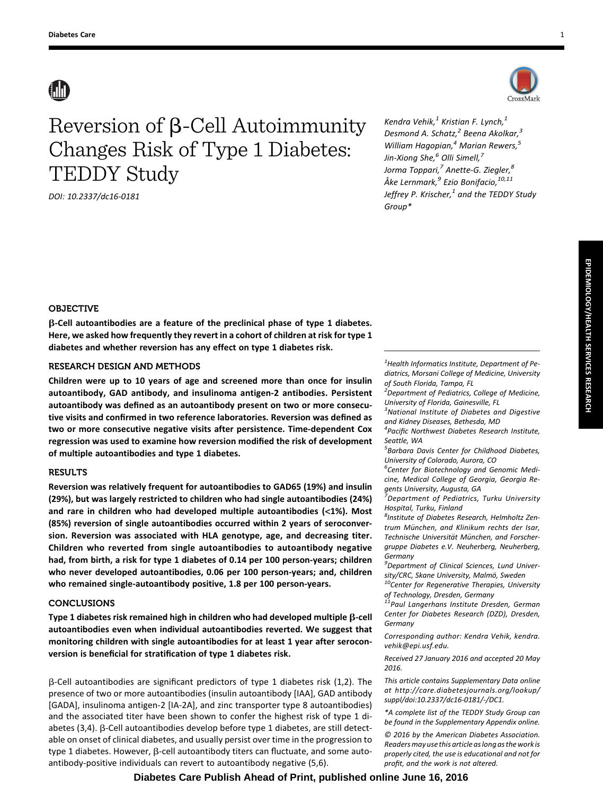# Reversion of  $\beta$ -Cell Autoimmunity Changes Risk of Type 1 Diabetes: TEDDY Study

DOI: 10.2337/dc16-0181



Kendra Vehik, $<sup>1</sup>$  Kristian F. Lynch, $<sup>1</sup>$ </sup></sup> Desmond A. Schatz, $^2$  Beena Akolkar, $^3$ William Hagopian, $4$  Marian Rewers, $5$ Jin-Xiong She,<sup>6</sup> Olli Simell,<sup>7</sup> Jorma Toppari,<sup>7</sup> Anette-G. Ziegler,<sup>8</sup> Åke Lernmark,<sup>9</sup> Ezio Bonifacio, <sup>10,11</sup> Jeffrey P. Krischer, $<sup>1</sup>$  and the TEDDY Study</sup> Group\*

# OBJECTIVE

b-Cell autoantibodies are a feature of the preclinical phase of type 1 diabetes. Here, we asked how frequently they revert in a cohort of children at risk for type 1 diabetes and whether reversion has any effect on type 1 diabetes risk.

# RESEARCH DESIGN AND METHODS

Children were up to 10 years of age and screened more than once for insulin autoantibody, GAD antibody, and insulinoma antigen-2 antibodies. Persistent autoantibody was defined as an autoantibody present on two or more consecutive visits and confirmed in two reference laboratories. Reversion was defined as two or more consecutive negative visits after persistence. Time-dependent Cox regression was used to examine how reversion modified the risk of development of multiple autoantibodies and type 1 diabetes.

# **RESULTS**

Reversion was relatively frequent for autoantibodies to GAD65 (19%) and insulin (29%), but was largely restricted to children who had single autoantibodies (24%) and rare in children who had developed multiple autoantibodies (<1%). Most (85%) reversion of single autoantibodies occurred within 2 years of seroconversion. Reversion was associated with HLA genotype, age, and decreasing titer. Children who reverted from single autoantibodies to autoantibody negative had, from birth, a risk for type 1 diabetes of 0.14 per 100 person-years; children who never developed autoantibodies, 0.06 per 100 person-years; and, children who remained single-autoantibody positive, 1.8 per 100 person-years.

# **CONCLUSIONS**

Type 1 diabetes risk remained high in children who had developed multiple  $\beta$ -cell autoantibodies even when individual autoantibodies reverted. We suggest that monitoring children with single autoantibodies for at least 1 year after seroconversion is beneficial for stratification of type 1 diabetes risk.

 $\beta$ -Cell autoantibodies are significant predictors of type 1 diabetes risk (1,2). The presence of two or more autoantibodies (insulin autoantibody [IAA], GAD antibody [GADA], insulinoma antigen-2 [IA-2A], and zinc transporter type 8 autoantibodies) and the associated titer have been shown to confer the highest risk of type 1 diabetes (3,4).  $\beta$ -Cell autoantibodies develop before type 1 diabetes, are still detectable on onset of clinical diabetes, and usually persist over time in the progression to type 1 diabetes. However,  $\beta$ -cell autoantibody titers can fluctuate, and some autoantibody-positive individuals can revert to autoantibody negative (5,6).

 $<sup>1</sup>$ Health Informatics Institute, Department of Pe-</sup> diatrics, Morsani College of Medicine, University of South Florida, Tampa, FL

<sup>2</sup>Department of Pediatrics, College of Medicine, University of Florida, Gainesville, FL

<sup>3</sup>National Institute of Diabetes and Digestive and Kidney Diseases, Bethesda, MD

4 Pacific Northwest Diabetes Research Institute, Seattle, WA

5 Barbara Davis Center for Childhood Diabetes, University of Colorado, Aurora, CO

<sup>6</sup>Center for Biotechnology and Genomic Medicine, Medical College of Georgia, Georgia Regents University, Augusta, GA

<sup>7</sup> Department of Pediatrics, Turku University Hospital, Turku, Finland

<sup>8</sup>Institute of Diabetes Research, Helmholtz Zentrum München, and Klinikum rechts der Isar, Technische Universität München, and Forschergruppe Diabetes e.V. Neuherberg, Neuherberg, Germany

9 Department of Clinical Sciences, Lund Univer-

sity/CRC, Skane University, Malmö, Sweden<br><sup>10</sup>Center for Regenerative Therapies, University of Technology, Dresden, Germany

 $11$ Paul Langerhans Institute Dresden, German Center for Diabetes Research (DZD), Dresden, Germany

Corresponding author: Kendra Vehik, [kendra.](mailto:kendra.vehik@epi.usf.edu) [vehik@epi.usf.edu.](mailto:kendra.vehik@epi.usf.edu)

Received 27 January 2016 and accepted 20 May 2016.

This article contains Supplementary Data online at [http://care.diabetesjournals.org/lookup/](http://care.diabetesjournals.org/lookup/suppl/doi:10.2337/dc16-0181/-/DC1) [suppl/doi:10.2337/dc16-0181/-/DC1.](http://care.diabetesjournals.org/lookup/suppl/doi:10.2337/dc16-0181/-/DC1)

\*A complete list of the TEDDY Study Group can be found in the Supplementary Appendix online. © 2016 by the American Diabetes Association. Readers may use this article as long as the work is properly cited, the use is educational and not for profit, and the work is not altered.

# **Diabetes Care Publish Ahead of Print, published online June 16, 2016**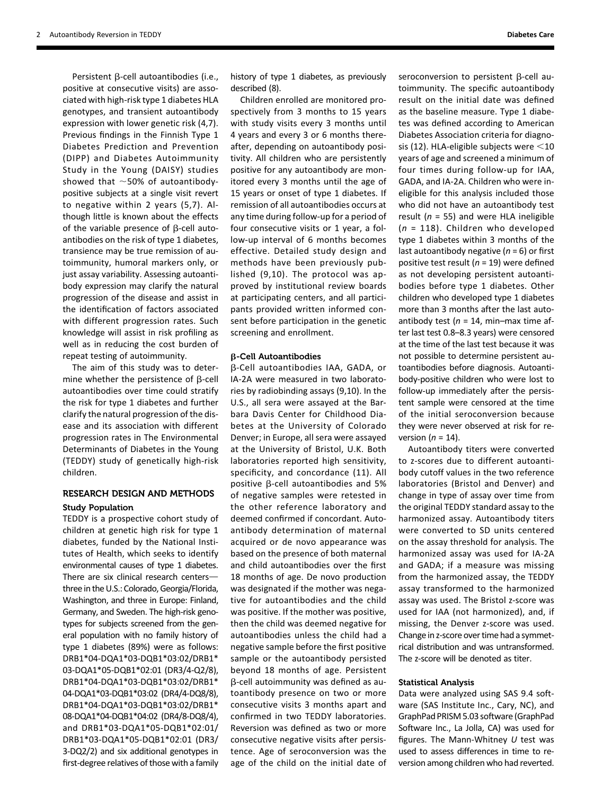Persistent  $\beta$ -cell autoantibodies (i.e., positive at consecutive visits) are associated with high-risk type 1 diabetes HLA genotypes, and transient autoantibody expression with lower genetic risk (4,7). Previous findings in the Finnish Type 1 Diabetes Prediction and Prevention (DIPP) and Diabetes Autoimmunity Study in the Young (DAISY) studies showed that  $\sim$  50% of autoantibodypositive subjects at a single visit revert to negative within 2 years (5,7). Although little is known about the effects of the variable presence of  $\beta$ -cell autoantibodies on the risk of type 1 diabetes, transience may be true remission of autoimmunity, humoral markers only, or just assay variability. Assessing autoantibody expression may clarify the natural progression of the disease and assist in the identification of factors associated with different progression rates. Such knowledge will assist in risk profiling as well as in reducing the cost burden of repeat testing of autoimmunity.

The aim of this study was to determine whether the persistence of  $\beta$ -cell autoantibodies over time could stratify the risk for type 1 diabetes and further clarify the natural progression of the disease and its association with different progression rates in The Environmental Determinants of Diabetes in the Young (TEDDY) study of genetically high-risk children.

#### RESEARCH DESIGN AND METHODS

#### Study Population

TEDDY is a prospective cohort study of children at genetic high risk for type 1 diabetes, funded by the National Institutes of Health, which seeks to identify environmental causes of type 1 diabetes. There are six clinical research centers $$ three in the U.S.: Colorado, Georgia/Florida, Washington, and three in Europe: Finland, Germany, and Sweden. The high-risk genotypes for subjects screened from the general population with no family history of type 1 diabetes (89%) were as follows: DRB1\*04-DQA1\*03-DQB1\*03:02/DRB1\* 03-DQA1\*05-DQB1\*02:01 (DR3/4-Q2/8), DRB1\*04-DQA1\*03-DQB1\*03:02/DRB1\* 04-DQA1\*03-DQB1\*03:02 (DR4/4-DQ8/8), DRB1\*04-DQA1\*03-DQB1\*03:02/DRB1\* 08-DQA1\*04-DQB1\*04:02 (DR4/8-DQ8/4), and DRB1\*03-DQA1\*05-DQB1\*02:01/ DRB1\*03-DQA1\*05-DQB1\*02:01 (DR3/ 3-DQ2/2) and six additional genotypes in first-degree relatives of those with a family

history of type 1 diabetes, as previously described (8).

Children enrolled are monitored prospectively from 3 months to 15 years with study visits every 3 months until 4 years and every 3 or 6 months thereafter, depending on autoantibody positivity. All children who are persistently positive for any autoantibody are monitored every 3 months until the age of 15 years or onset of type 1 diabetes. If remission of all autoantibodies occurs at any time during follow-up for a period of four consecutive visits or 1 year, a follow-up interval of 6 months becomes effective. Detailed study design and methods have been previously published (9,10). The protocol was approved by institutional review boards at participating centers, and all participants provided written informed consent before participation in the genetic screening and enrollment.

#### $\beta$ -Cell Autoantibodies

b-Cell autoantibodies IAA, GADA, or IA-2A were measured in two laboratories by radiobinding assays (9,10). In the U.S., all sera were assayed at the Barbara Davis Center for Childhood Diabetes at the University of Colorado Denver; in Europe, all sera were assayed at the University of Bristol, U.K. Both laboratories reported high sensitivity, specificity, and concordance (11). All positive  $\beta$ -cell autoantibodies and 5% of negative samples were retested in the other reference laboratory and deemed confirmed if concordant. Autoantibody determination of maternal acquired or de novo appearance was based on the presence of both maternal and child autoantibodies over the first 18 months of age. De novo production was designated if the mother was negative for autoantibodies and the child was positive. If the mother was positive, then the child was deemed negative for autoantibodies unless the child had a negative sample before the first positive sample or the autoantibody persisted beyond 18 months of age. Persistent b-cell autoimmunity was defined as autoantibody presence on two or more consecutive visits 3 months apart and confirmed in two TEDDY laboratories. Reversion was defined as two or more consecutive negative visits after persistence. Age of seroconversion was the age of the child on the initial date of

seroconversion to persistent  $\beta$ -cell autoimmunity. The specific autoantibody result on the initial date was defined as the baseline measure. Type 1 diabetes was defined according to American Diabetes Association criteria for diagnosis (12). HLA-eligible subjects were  $<$ 10 years of age and screened a minimum of four times during follow-up for IAA, GADA, and IA-2A. Children who were ineligible for this analysis included those who did not have an autoantibody test result ( $n = 55$ ) and were HLA ineligible  $(n = 118)$ . Children who developed type 1 diabetes within 3 months of the last autoantibody negative ( $n = 6$ ) or first positive test result ( $n = 19$ ) were defined as not developing persistent autoantibodies before type 1 diabetes. Other children who developed type 1 diabetes more than 3 months after the last autoantibody test ( $n = 14$ , min-max time after last test 0.8–8.3 years) were censored at the time of the last test because it was not possible to determine persistent autoantibodies before diagnosis. Autoantibody-positive children who were lost to follow-up immediately after the persistent sample were censored at the time of the initial seroconversion because they were never observed at risk for reversion ( $n = 14$ ).

Autoantibody titers were converted to z-scores due to different autoantibody cutoff values in the two reference laboratories (Bristol and Denver) and change in type of assay over time from the original TEDDY standard assay to the harmonized assay. Autoantibody titers were converted to SD units centered on the assay threshold for analysis. The harmonized assay was used for IA-2A and GADA; if a measure was missing from the harmonized assay, the TEDDY assay transformed to the harmonized assay was used. The Bristol z-score was used for IAA (not harmonized), and, if missing, the Denver z-score was used. Change in z-score over time had a symmetrical distribution and was untransformed. The z-score will be denoted as titer.

#### Statistical Analysis

Data were analyzed using SAS 9.4 software (SAS Institute Inc., Cary, NC), and GraphPad PRISM 5.03 software (GraphPad Software Inc., La Jolla, CA) was used for figures. The Mann-Whitney  $U$  test was used to assess differences in time to reversion among children who had reverted.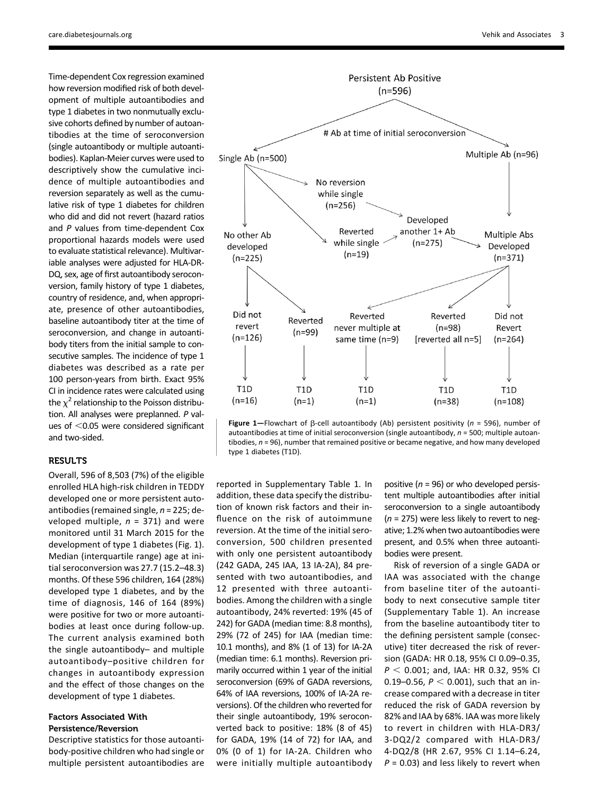Time-dependent Cox regression examined how reversion modified risk of both development of multiple autoantibodies and type 1 diabetes in two nonmutually exclusive cohorts defined by number of autoantibodies at the time of seroconversion (single autoantibody or multiple autoantibodies). Kaplan-Meier curves were used to descriptively show the cumulative incidence of multiple autoantibodies and reversion separately as well as the cumulative risk of type 1 diabetes for children who did and did not revert (hazard ratios and P values from time-dependent Cox proportional hazards models were used to evaluate statistical relevance). Multivariable analyses were adjusted for HLA-DR-DQ, sex, age of first autoantibody seroconversion, family history of type 1 diabetes, country of residence, and, when appropriate, presence of other autoantibodies, baseline autoantibody titer at the time of seroconversion, and change in autoantibody titers from the initial sample to consecutive samples. The incidence of type 1 diabetes was described as a rate per 100 person-years from birth. Exact 95% CI in incidence rates were calculated using the  $\chi^2$  relationship to the Poisson distribution. All analyses were preplanned. P values of  $<$ 0.05 were considered significant and two-sided.

### **RESULTS**

Overall, 596 of 8,503 (7%) of the eligible enrolled HLA high-risk children in TEDDY developed one or more persistent autoantibodies (remained single,  $n = 225$ ; developed multiple,  $n = 371$ ) and were monitored until 31 March 2015 for the development of type 1 diabetes (Fig. 1). Median (interquartile range) age at initial seroconversion was 27.7 (15.2–48.3) months. Of these 596 children, 164 (28%) developed type 1 diabetes, and by the time of diagnosis, 146 of 164 (89%) were positive for two or more autoantibodies at least once during follow-up. The current analysis examined both the single autoantibody– and multiple autoantibody–positive children for changes in autoantibody expression and the effect of those changes on the development of type 1 diabetes.

# Factors Associated With Persistence/Reversion

Descriptive statistics for those autoantibody-positive children who had single or multiple persistent autoantibodies are



Figure 1-Flowchart of  $\beta$ -cell autoantibody (Ab) persistent positivity (n = 596), number of autoantibodies at time of initial seroconversion (single autoantibody,  $n = 500$ ; multiple autoantibodies,  $n = 96$ ), number that remained positive or became negative, and how many developed type 1 diabetes (T1D).

reported in [Supplementary Table 1](http://care.diabetesjournals.org/lookup/suppl/doi:10.2337/dc16-0181/-/DC1). In addition, these data specify the distribution of known risk factors and their influence on the risk of autoimmune reversion. At the time of the initial seroconversion, 500 children presented with only one persistent autoantibody (242 GADA, 245 IAA, 13 IA-2A), 84 presented with two autoantibodies, and 12 presented with three autoantibodies. Among the children with a single autoantibody, 24% reverted: 19% (45 of 242) for GADA (median time: 8.8 months), 29% (72 of 245) for IAA (median time: 10.1 months), and 8% (1 of 13) for IA-2A (median time: 6.1 months). Reversion primarily occurred within 1 year of the initial seroconversion (69% of GADA reversions, 64% of IAA reversions, 100% of IA-2A reversions). Of the children who reverted for their single autoantibody, 19% seroconverted back to positive: 18% (8 of 45) for GADA, 19% (14 of 72) for IAA, and 0% (0 of 1) for IA-2A. Children who were initially multiple autoantibody

positive ( $n = 96$ ) or who developed persistent multiple autoantibodies after initial seroconversion to a single autoantibody  $(n = 275)$  were less likely to revert to negative; 1.2% when two autoantibodies were present, and 0.5% when three autoantibodies were present.

Risk of reversion of a single GADA or IAA was associated with the change from baseline titer of the autoantibody to next consecutive sample titer ([Supplementary Table 1\)](http://care.diabetesjournals.org/lookup/suppl/doi:10.2337/dc16-0181/-/DC1). An increase from the baseline autoantibody titer to the defining persistent sample (consecutive) titer decreased the risk of reversion (GADA: HR 0.18, 95% CI 0.09–0.35,  $P < 0.001$ ; and, IAA: HR 0.32, 95% CI 0.19–0.56,  $P < 0.001$ ), such that an increase compared with a decrease in titer reduced the risk of GADA reversion by 82% and IAA by 68%. IAA was more likely to revert in children with HLA-DR3/ 3-DQ2/2 compared with HLA-DR3/ 4-DQ2/8 (HR 2.67, 95% CI 1.14–6.24,  $P = 0.03$ ) and less likely to revert when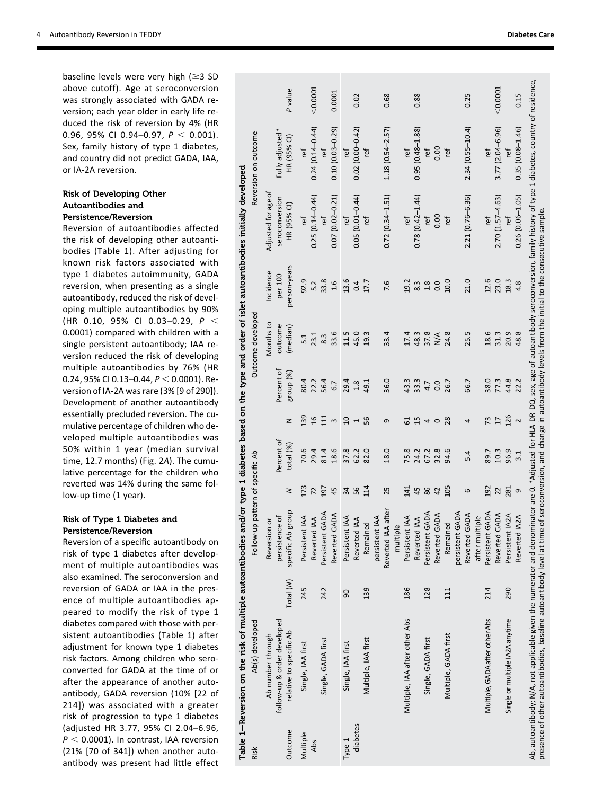baseline levels were very high ( \$3 SD above cutoff). Age at seroconversion was strongly associated with GADA reversion; each year older in early life reduced the risk of reversion by 4% (HR 0.96, 95% CI 0.94-0.97,  $P < 0.001$ ). Sex, family history of type 1 diabetes, and country did not predict GADA, IAA, or IA-2A reversion.

## Risk of Developing Other Autoantibodies and Persistence/Reversion

Reversion of autoantibodies affected the risk of developing other autoantibodies (Table 1). After adjusting for known risk factors associated with type 1 diabetes autoimmunity, GADA reversion, when presenting as a single autoantibody, reduced the risk of developing multiple autoantibodies by 90% (HR 0.10, 95% CI 0.03-0.29,  $P <$ 0.0001) compared with children with a single persistent autoantibody; IAA reversion reduced the risk of developing multiple autoantibodies by 76% (HR 0.24, 95% CI 0.13-0.44,  $P < 0.0001$ ). Reversion of IA-2A was rare (3% [9 of 290]). Development of another autoantibody essentially precluded reversion. The cumulative percentage of children who developed multiple autoantibodies was 50% within 1 year (median survival time, 12.7 months) (Fig. 2 A). The cumulative percentage for the children who reverted was 14% during the same follow-up time (1 year).

# Risk of Type 1 Diabetes and Persistence/Reversion

Reversion of a speci fic autoantibody on risk of type 1 diabetes after development of multiple autoantibodies was also examined. The seroconversion and reversion of GADA or IAA in the presence of multiple autoantibodies appeared to modify the risk of type 1 diabetes compared with those with persistent autoantibodies (Table 1) after adjustment for known type 1 diabetes risk factors. Among children who seroconverted for GADA at the time of or after the appearance of another autoantibody, GADA reversion (10% [22 of 214]) was associated with a greater risk of progression to type 1 diabetes (adjusted HR 3.77, 95% CI 2.04 –6.96,  $P < 0.0001$ ). In contrast, IAA reversion (21% [70 of 341]) when another autoantibody was present had little effect

| Risk                   | Table 1–Reversion on the risk of multiple autoantibodies and/or type 1 diabetes based on the type and order of islet autoantibodies initially developed<br>Ab(s) developed                                                                                                        |           | Follow-up pattern of specific Ab                      |           |                         |                                 |                         | Outcome developed                                |                                                                                                  |                                                      | Reversion on outcome           |            |
|------------------------|-----------------------------------------------------------------------------------------------------------------------------------------------------------------------------------------------------------------------------------------------------------------------------------|-----------|-------------------------------------------------------|-----------|-------------------------|---------------------------------|-------------------------|--------------------------------------------------|--------------------------------------------------------------------------------------------------|------------------------------------------------------|--------------------------------|------------|
| Outcome                | follow-up & order developed<br>relative to specific Ab<br>Ab number through                                                                                                                                                                                                       | Total (N) | specific Ab group<br>persistence of<br>ŏ<br>Reversion | 2         | Percent of<br>total (%) | z                               | Percent of<br>group (%) | Months to<br>outcome<br>(median)                 | person-years<br>Incidence<br>per 100                                                             | Adjusted for age of<br>seroconversion<br>HR (95% CI) | Fully adjusted*<br>HR (95% CI) | P value    |
| Multiple<br><b>Abs</b> | Single, IAA first                                                                                                                                                                                                                                                                 | 245       | $\overline{4}$<br>Reverted IAA<br>Persistent          | 173<br>72 | 70.6<br>29.4            | 139<br>$\mathfrak{a}$           | 80.4<br>22.2            | 23.1<br>5.1                                      | 92.9<br>5.2                                                                                      | $0.25(0.14 - 0.44)$<br>ref                           | $0.24(0.14 - 0.44)$<br>tef     | $<$ 0.0001 |
|                        | Single, GADA first                                                                                                                                                                                                                                                                | 242       | Persistent GADA<br>Reverted GADA                      | 197<br>45 | 18.6<br>81.4            | $\frac{11}{11}$<br>$\mathsf{m}$ | 56.4<br>6.7             | 33.6<br>8.3                                      | 33.8<br>$\frac{6}{1}$                                                                            | $0.07(0.02 - 0.21)$<br>ref                           | $0.10(0.03 - 0.29)$<br>ref     | 0.0001     |
| diabetes<br>Type 1     | Single, IAA first                                                                                                                                                                                                                                                                 | 90        | A<br>$\overline{A}$<br>Persistent<br>Reverted I       | 56<br>34  | 37.8<br>62.2            | $\Omega$<br>$\overline{ }$      | 29.4<br>1.8             | 11.5<br>45.0                                     | 13.6<br>0.4                                                                                      | $0.05(0.01 - 0.44)$<br>ref                           | $0.02(0.00 - 0.42)$<br>ref     | 0.02       |
|                        | Multiple, IAA first                                                                                                                                                                                                                                                               | 139       | $\overline{A}$<br>Remained<br>persistent              | 114       | 82.0                    | 95                              | 49.1                    | 19.3                                             | 17.7                                                                                             | ŗef                                                  | ref                            |            |
|                        |                                                                                                                                                                                                                                                                                   |           | Reverted IAA after<br>multiple                        | 25        | 18.0                    | G                               | 36.0                    | 33.4                                             | 7.6                                                                                              | $0.72(0.34 - 1.51)$                                  | $1.18(0.54 - 2.57)$            | 0.68       |
|                        | Multiple, IAA after other Abs                                                                                                                                                                                                                                                     | 186       | $\overline{4}$<br>Reverted IAA<br>Persistent          | 141<br>45 | 75.8<br>24.2            | $\overline{1}$<br>5             | 33.3<br>43.3            | 17.4<br>48.3                                     | 19.2<br>8.3                                                                                      | $0.78(0.42 - 1.44)$<br>ref                           | $0.95(0.48 - 1.88)$<br>ref     | 0.88       |
|                        | Single, GADA first                                                                                                                                                                                                                                                                | 128       | Persistent GADA                                       | 86        | 67.2                    | 4<br>$\circ$                    | 4.7                     | 37.8                                             | 1.8                                                                                              | ref                                                  | ref                            |            |
|                        | Multiple, GADA first                                                                                                                                                                                                                                                              | $\Xi$     | Reverted GADA<br>Remained                             | 105<br>42 | 94.6<br>32.8            | 28                              | 26.7<br>0.0             | 24.8<br>$\stackrel{\triangle}{\scriptstyle\sim}$ | 10.0<br>$\overline{0}$                                                                           | 0.00<br>ref                                          | 0.00<br>ref                    |            |
|                        |                                                                                                                                                                                                                                                                                   |           | persistent GADA<br>Reverted GADA<br>after multiple    | 6         | 5.4                     | 4                               | 66.7                    | 25.5                                             | 21.0                                                                                             | 2.21 (0.76-6.36)                                     | $2.34(0.55 - 10.4)$            | 0.25       |
|                        | Multiple, GADA after other Abs                                                                                                                                                                                                                                                    | 214       | Persistent GADA<br>Reverted GADA                      | 192<br>22 | 89.7<br>10.3            | 73<br>$\overline{1}$            | 38.0<br>77.3            | 18.6<br>31.3                                     | 12.6<br>23.0                                                                                     | $2.70(1.57 - 4.63)$<br>ref                           | $3.77(2.04 - 6.96)$<br>ref     | $<$ 0.0001 |
|                        | Single or multiple IA2A anytime                                                                                                                                                                                                                                                   | 290       | <b>A2A</b><br>Reverted IA2A<br>Persistent I           | 281<br>G  | 96.9<br>3.1             | 126<br>$\sim$                   | 44.8<br>22.2            | 20.9<br>48.8                                     | 18.3<br>4.8                                                                                      | $0.26(0.06 - 1.05)$<br>ref                           | $0.35(0.08 - 1.46)$<br>ref     | 0.15       |
|                        | Ab, autoantibody; N/A, not applicable given the numerator and denominator are 0. *Adjusted for HLA-DQ, sex, age of autoantibody seroconversion, family history of type 1 diabetes, country of residence,<br>presence of other autoantibodies, baseline autoantibody level at time |           |                                                       |           |                         |                                 |                         |                                                  | of seroconversion, and change in autoantibody levels from the initial to the consecutive sample. |                                                      |                                |            |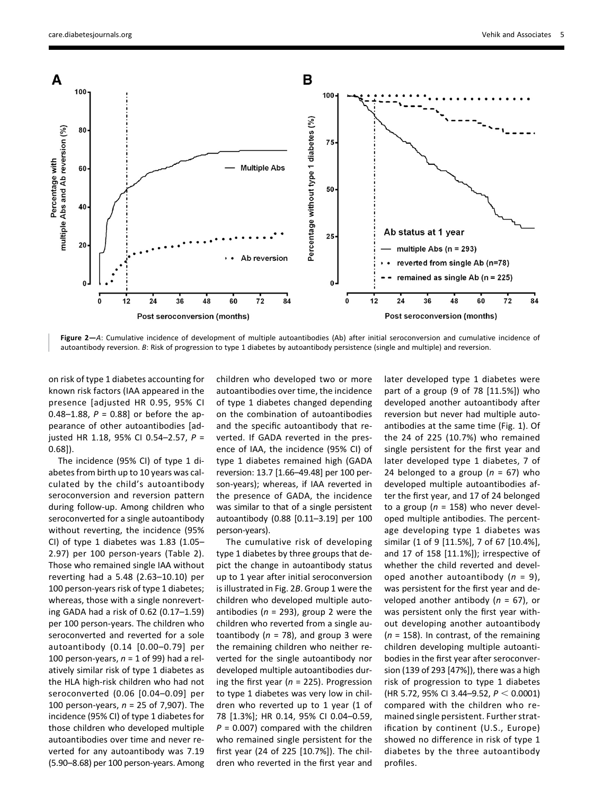

Figure 2-A: Cumulative incidence of development of multiple autoantibodies (Ab) after initial seroconversion and cumulative incidence of autoantibody reversion. B: Risk of progression to type 1 diabetes by autoantibody persistence (single and multiple) and reversion.

on risk of type 1 diabetes accounting for known risk factors (IAA appeared in the presence [adjusted HR 0.95, 95% CI 0.48–1.88,  $P = 0.88$ ] or before the appearance of other autoantibodies [adjusted HR 1.18, 95% CI 0.54–2.57, P = 0.68]).

The incidence (95% CI) of type 1 diabetes from birth up to 10 years was calculated by the child's autoantibody seroconversion and reversion pattern during follow-up. Among children who seroconverted for a single autoantibody without reverting, the incidence (95% CI) of type 1 diabetes was  $1.83$  (1.05– 2.97) per 100 person-years (Table 2). Those who remained single IAA without reverting had a 5.48 (2.63–10.10) per 100 person-years risk of type 1 diabetes; whereas, those with a single nonreverting GADA had a risk of 0.62 (0.17–1.59) per 100 person-years. The children who seroconverted and reverted for a sole autoantibody (0.14 [0.00–0.79] per 100 person-years,  $n = 1$  of 99) had a relatively similar risk of type 1 diabetes as the HLA high-risk children who had not seroconverted (0.06 [0.04–0.09] per 100 person-years,  $n = 25$  of 7,907). The incidence (95% CI) of type 1 diabetes for those children who developed multiple autoantibodies over time and never reverted for any autoantibody was 7.19 (5.90–8.68) per 100 person-years. Among

children who developed two or more autoantibodies over time, the incidence of type 1 diabetes changed depending on the combination of autoantibodies and the specific autoantibody that reverted. If GADA reverted in the presence of IAA, the incidence (95% CI) of type 1 diabetes remained high (GADA reversion: 13.7 [1.66–49.48] per 100 person-years); whereas, if IAA reverted in the presence of GADA, the incidence was similar to that of a single persistent autoantibody (0.88 [0.11–3.19] per 100 person-years).

The cumulative risk of developing type 1 diabetes by three groups that depict the change in autoantibody status up to 1 year after initial seroconversion is illustrated in Fig. 2B. Group 1 were the children who developed multiple autoantibodies ( $n = 293$ ), group 2 were the children who reverted from a single autoantibody ( $n = 78$ ), and group 3 were the remaining children who neither reverted for the single autoantibody nor developed multiple autoantibodies during the first year ( $n = 225$ ). Progression to type 1 diabetes was very low in children who reverted up to 1 year (1 of 78 [1.3%]; HR 0.14, 95% CI 0.04–0.59,  $P = 0.007$ ) compared with the children who remained single persistent for the first year (24 of 225 [10.7%]). The children who reverted in the first year and

later developed type 1 diabetes were part of a group (9 of 78 [11.5%]) who developed another autoantibody after reversion but never had multiple autoantibodies at the same time (Fig. 1). Of the 24 of 225 (10.7%) who remained single persistent for the first year and later developed type 1 diabetes, 7 of 24 belonged to a group ( $n = 67$ ) who developed multiple autoantibodies after the first year, and 17 of 24 belonged to a group ( $n = 158$ ) who never developed multiple antibodies. The percentage developing type 1 diabetes was similar (1 of 9 [11.5%], 7 of 67 [10.4%], and 17 of 158 [11.1%]); irrespective of whether the child reverted and developed another autoantibody  $(n = 9)$ , was persistent for the first year and developed another antibody ( $n = 67$ ), or was persistent only the first year without developing another autoantibody  $(n = 158)$ . In contrast, of the remaining children developing multiple autoantibodies in the first year after seroconversion (139 of 293 [47%]), there was a high risk of progression to type 1 diabetes (HR 5.72, 95% CI 3.44–9.52,  $P < 0.0001$ ) compared with the children who remained single persistent. Further stratification by continent (U.S., Europe) showed no difference in risk of type 1 diabetes by the three autoantibody profiles.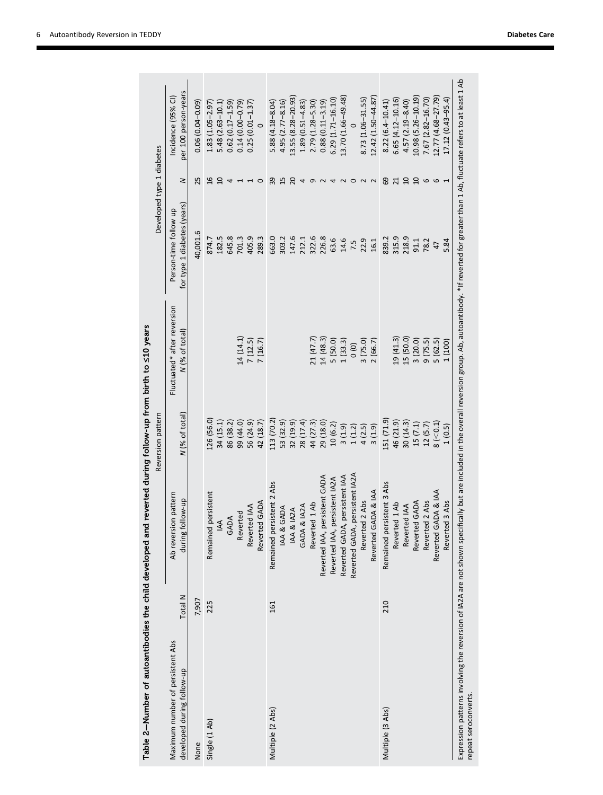|                                                                |         |                                          | Reversion pattern |                                               | Developed type 1 diabetes                            |                 |                                            |
|----------------------------------------------------------------|---------|------------------------------------------|-------------------|-----------------------------------------------|------------------------------------------------------|-----------------|--------------------------------------------|
| Maximum number of persistent Abs<br>developed during follow-up | Total N | Ab reversion pattern<br>during follow-up | N (% of total)    | Fluctuated* after reversion<br>N (% of total) | for type 1 diabetes (years)<br>Person-time follow up | 2               | per 100 person-years<br>Incidence (95% CI) |
| None                                                           | 7,907   |                                          |                   |                                               | 40,001.6                                             | 25              | $0.06(0.04 - 0.09)$                        |
| Single (1 Ab)                                                  | 225     | persistent<br>Remained                   | 126 (56.0)        |                                               | 874.7                                                | $\frac{6}{1}$   | 1.83 (1.05-2.97                            |
|                                                                |         | $\overline{A}$                           | 34 (15.1)         |                                               | 182.5                                                | $\overline{a}$  | 5.48 (2.63-10.1                            |
|                                                                |         | <b>GADA</b>                              | 86 (38.2)         |                                               | 645.8                                                | 4               | $0.62(0.17 - 1.59)$                        |
|                                                                |         | Reverted                                 | 99 (44.0)         | 14 (14.1)                                     | 701.3                                                |                 | $0.14(0.00 - 0.79)$                        |
|                                                                |         | Reverted IAA                             | 56 (24.9)         | 7(12.5)                                       | 405.9                                                |                 | $0.25(0.01 - 1.37)$                        |
|                                                                |         | Reverted GADA                            | 42 (18.7)         | 7(16.7)                                       | 289.3                                                | $\circ$         | $\circ$                                    |
| Multiple (2 Abs)                                               | 161     | Remained persistent 2 Abs                | 113 (70.2)        |                                               | 663.0                                                | 39              | $5.88(4.18 - 8.04)$                        |
|                                                                |         | IAA & GADA                               | 53 (32.9)         |                                               | 303.2                                                | 15              | $4.95(2.77 - 8.16)$                        |
|                                                                |         | IAA & IA2A                               | 32(19.9)          |                                               | 147.6                                                | 20              | 13.55 (8.28-20.93)                         |
|                                                                |         | GADA & IA2A                              | 28 (17.4)         |                                               | 212.1                                                | 4               | 1.89 (0.51-4.83)                           |
|                                                                |         | Reverted 1 Ab                            | 44 (27.3)         | 21 (47.7)                                     | 322.6                                                | G               | 2.79 (1.28-5.30)                           |
|                                                                |         | Reverted IAA, persistent GADA            | 29 (18.0)         | 14 (48.3)                                     | 226.8                                                |                 | $0.88(0.11 - 3.19)$                        |
|                                                                |         | persistent IA2A<br>Reverted IAA,         | 10(6.2)           | 5 (50.0)                                      | 63.6                                                 |                 | 6.29 (1.71-16.10)                          |
|                                                                |         | Reverted GADA, persistent IAA            | 3(1.9)            | 1(33.3)                                       | 14.6                                                 |                 | 13.70 (1.66-49.48)                         |
|                                                                |         | persistent IA2A<br>Reverted GADA,        | 1(1.2)            | $\frac{1}{2}$                                 | 7.5                                                  | $\circ$         |                                            |
|                                                                |         | Reverted 2 Abs                           | 4(2.5)            | 3(75.0)                                       | 22.9                                                 | $\sim$          | 8.73 (1.06-31.55)                          |
|                                                                |         | Reverted GADA & IAA                      | 3(1.9)            | 2(66.7)                                       | 16.1                                                 | $\sim$          | 12.42 (1.50-44.87)                         |
| Multiple (3 Abs)                                               | 210     | Remained persistent 3 Abs                | 151 (71.9)        |                                               | 839.2                                                | 69              | $8.22(6.4 - 10.41)$                        |
|                                                                |         | Reverted 1 Ab                            | 46 (21.9)         | 19(41.3)                                      | 315.9                                                | $\overline{21}$ | $6.65(4.12 - 10.16)$                       |
|                                                                |         | Reverted IAA                             | 30(14.3)          | 15 (50.0)                                     | 218.9                                                | $\overline{a}$  | $4.57(2.19 - 8.40)$                        |
|                                                                |         | Reverted GADA                            | 15(7.1)           | 3(20.0)                                       | 91.1                                                 | $\Omega$        | 10.98 (5.26-10.19)                         |
|                                                                |         | Reverted 2 Abs                           | 12(5.7)           | 9(75.5)                                       | 78.2                                                 | 6               | 7.67 (2.82-16.70)                          |
|                                                                |         | Reverted GADA & IAA                      | $8 (-0.1)$        | 5(62.5)                                       | 47                                                   | $\circ$         | 12.77 (4.68–27.79)                         |
|                                                                |         | Reverted 3 Abs                           | 1(0.5)            | 1 (100)                                       | 5.84                                                 |                 | $17.12(0.43 - 95.4)$                       |

Table 2—Number of autoantibodies the child developed and reverted during follow-up from birth to £10 years Table 2–Number of autoantibodies the child developed and reverted during follow-up from birth to  $\leq$ 10 years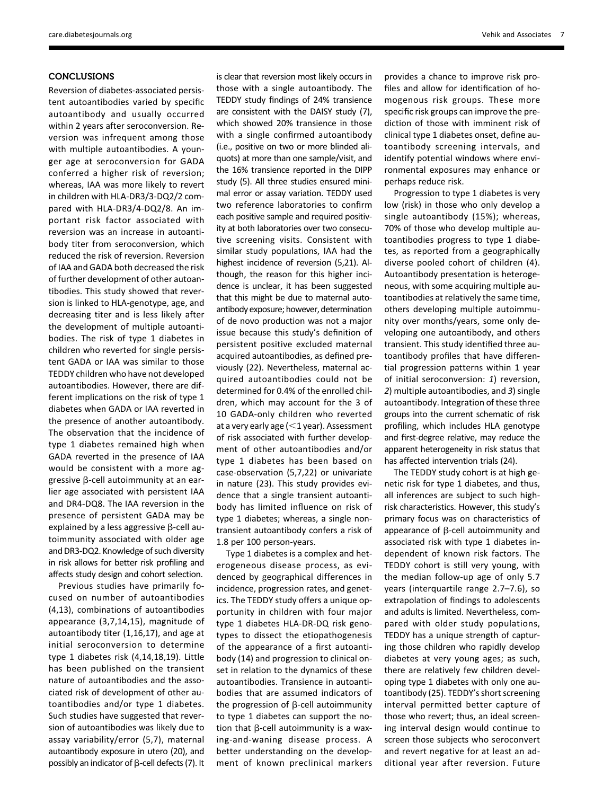# **CONCLUSIONS**

Reversion of diabetes-associated persistent autoantibodies varied by specific autoantibody and usually occurred within 2 years after seroconversion. Reversion was infrequent among those with multiple autoantibodies. A younger age at seroconversion for GADA conferred a higher risk of reversion; whereas, IAA was more likely to revert in children with HLA-DR3/3-DQ2/2 compared with HLA-DR3/4-DQ2/8. An important risk factor associated with reversion was an increase in autoantibody titer from seroconversion, which reduced the risk of reversion. Reversion of IAA and GADA both decreased the risk of further development of other autoantibodies. This study showed that reversion is linked to HLA-genotype, age, and decreasing titer and is less likely after the development of multiple autoantibodies. The risk of type 1 diabetes in children who reverted for single persistent GADA or IAA was similar to those TEDDY children who have not developed autoantibodies. However, there are different implications on the risk of type 1 diabetes when GADA or IAA reverted in the presence of another autoantibody. The observation that the incidence of type 1 diabetes remained high when GADA reverted in the presence of IAA would be consistent with a more aggressive  $\beta$ -cell autoimmunity at an earlier age associated with persistent IAA and DR4-DQ8. The IAA reversion in the presence of persistent GADA may be explained by a less aggressive  $\beta$ -cell autoimmunity associated with older age and DR3-DQ2. Knowledge of such diversity in risk allows for better risk profiling and affects study design and cohort selection.

Previous studies have primarily focused on number of autoantibodies (4,13), combinations of autoantibodies appearance (3,7,14,15), magnitude of autoantibody titer (1,16,17), and age at initial seroconversion to determine type 1 diabetes risk (4,14,18,19). Little has been published on the transient nature of autoantibodies and the associated risk of development of other autoantibodies and/or type 1 diabetes. Such studies have suggested that reversion of autoantibodies was likely due to assay variability/error (5,7), maternal autoantibody exposure in utero (20), and possibly an indicator of  $\beta$ -cell defects (7). It

is clear that reversion most likely occurs in those with a single autoantibody. The TEDDY study findings of 24% transience are consistent with the DAISY study (7), which showed 20% transience in those with a single confirmed autoantibody (i.e., positive on two or more blinded aliquots) at more than one sample/visit, and the 16% transience reported in the DIPP study (5). All three studies ensured minimal error or assay variation. TEDDY used two reference laboratories to confirm each positive sample and required positivity at both laboratories over two consecutive screening visits. Consistent with similar study populations, IAA had the highest incidence of reversion (5,21). Although, the reason for this higher incidence is unclear, it has been suggested that this might be due to maternal autoantibody exposure; however, determination of de novo production was not a major issue because this study's definition of persistent positive excluded maternal acquired autoantibodies, as defined previously (22). Nevertheless, maternal acquired autoantibodies could not be determined for 0.4% of the enrolled children, which may account for the 3 of 10 GADA-only children who reverted at a very early age  $(<$  1 year). Assessment of risk associated with further development of other autoantibodies and/or type 1 diabetes has been based on case-observation (5,7,22) or univariate in nature (23). This study provides evidence that a single transient autoantibody has limited influence on risk of type 1 diabetes; whereas, a single nontransient autoantibody confers a risk of 1.8 per 100 person-years.

Type 1 diabetes is a complex and heterogeneous disease process, as evidenced by geographical differences in incidence, progression rates, and genetics. The TEDDY study offers a unique opportunity in children with four major type 1 diabetes HLA-DR-DQ risk genotypes to dissect the etiopathogenesis of the appearance of a first autoantibody (14) and progression to clinical onset in relation to the dynamics of these autoantibodies. Transience in autoantibodies that are assumed indicators of the progression of  $\beta$ -cell autoimmunity to type 1 diabetes can support the notion that  $\beta$ -cell autoimmunity is a waxing-and-waning disease process. A better understanding on the development of known preclinical markers provides a chance to improve risk profiles and allow for identification of homogenous risk groups. These more specific risk groups can improve the prediction of those with imminent risk of clinical type 1 diabetes onset, define autoantibody screening intervals, and identify potential windows where environmental exposures may enhance or perhaps reduce risk.

Progression to type 1 diabetes is very low (risk) in those who only develop a single autoantibody (15%); whereas, 70% of those who develop multiple autoantibodies progress to type 1 diabetes, as reported from a geographically diverse pooled cohort of children (4). Autoantibody presentation is heterogeneous, with some acquiring multiple autoantibodies at relatively the same time, others developing multiple autoimmunity over months/years, some only developing one autoantibody, and others transient. This study identified three autoantibody profiles that have differential progression patterns within 1 year of initial seroconversion: 1) reversion, 2) multiple autoantibodies, and 3) single autoantibody. Integration of these three groups into the current schematic of risk profiling, which includes HLA genotype and first-degree relative, may reduce the apparent heterogeneity in risk status that has affected intervention trials (24).

The TEDDY study cohort is at high genetic risk for type 1 diabetes, and thus, all inferences are subject to such highrisk characteristics. However, this study's primary focus was on characteristics of appearance of  $\beta$ -cell autoimmunity and associated risk with type 1 diabetes independent of known risk factors. The TEDDY cohort is still very young, with the median follow-up age of only 5.7 years (interquartile range 2.7–7.6), so extrapolation of findings to adolescents and adults is limited. Nevertheless, compared with older study populations, TEDDY has a unique strength of capturing those children who rapidly develop diabetes at very young ages; as such, there are relatively few children developing type 1 diabetes with only one autoantibody (25). TEDDY's short screening interval permitted better capture of those who revert; thus, an ideal screening interval design would continue to screen those subjects who seroconvert and revert negative for at least an additional year after reversion. Future